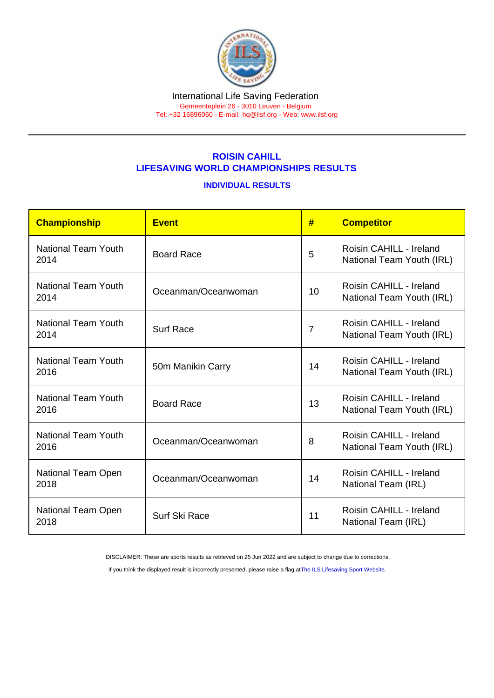## ROISIN CAHILL LIFESAVING WORLD CHAMPIONSHIPS RESULTS

## INDIVIDUAL RESULTS

| Championship                       | <b>Event</b>        | #              | <b>Competitor</b>                                    |
|------------------------------------|---------------------|----------------|------------------------------------------------------|
| National Team Youth<br>2014        | <b>Board Race</b>   | 5              | Roisin CAHILL - Ireland<br>National Team Youth (IRL) |
| National Team Youth<br>2014        | Oceanman/Oceanwoman | 10             | Roisin CAHILL - Ireland<br>National Team Youth (IRL) |
| <b>National Team Youth</b><br>2014 | <b>Surf Race</b>    | $\overline{7}$ | Roisin CAHILL - Ireland<br>National Team Youth (IRL) |
| <b>National Team Youth</b><br>2016 | 50m Manikin Carry   | 14             | Roisin CAHILL - Ireland<br>National Team Youth (IRL) |
| <b>National Team Youth</b><br>2016 | <b>Board Race</b>   | 13             | Roisin CAHILL - Ireland<br>National Team Youth (IRL) |
| <b>National Team Youth</b><br>2016 | Oceanman/Oceanwoman | 8              | Roisin CAHILL - Ireland<br>National Team Youth (IRL) |
| National Team Open<br>2018         | Oceanman/Oceanwoman | 14             | Roisin CAHILL - Ireland<br>National Team (IRL)       |
| National Team Open<br>2018         | Surf Ski Race       | 11             | Roisin CAHILL - Ireland<br>National Team (IRL)       |

DISCLAIMER: These are sports results as retrieved on 25 Jun 2022 and are subject to change due to corrections.

If you think the displayed result is incorrectly presented, please raise a flag at [The ILS Lifesaving Sport Website.](https://sport.ilsf.org)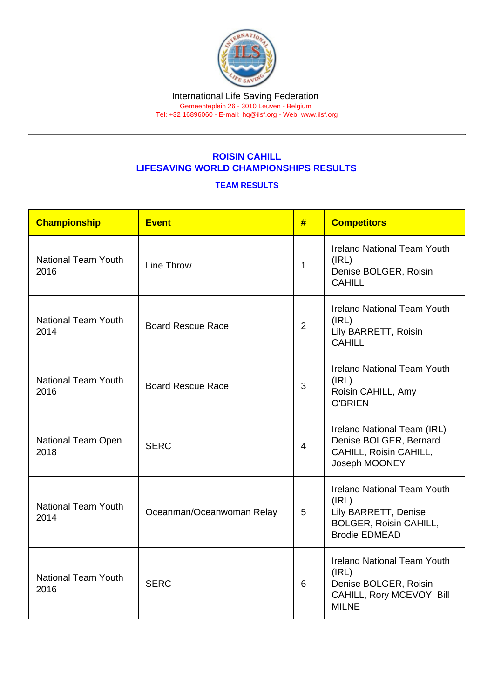## ROISIN CAHILL LIFESAVING WORLD CHAMPIONSHIPS RESULTS

## TEAM RESULTS

| Championship                       | <b>Event</b>              | #              | <b>Competitors</b>                                                                                                           |
|------------------------------------|---------------------------|----------------|------------------------------------------------------------------------------------------------------------------------------|
| <b>National Team Youth</b><br>2016 | Line Throw                | 1              | <b>Ireland National Team Youth</b><br>(IRL)<br>Denise BOLGER, Roisin<br><b>CAHILL</b>                                        |
| <b>National Team Youth</b><br>2014 | <b>Board Rescue Race</b>  | 2              | <b>Ireland National Team Youth</b><br>(IRL)<br>Lily BARRETT, Roisin<br><b>CAHILL</b>                                         |
| <b>National Team Youth</b><br>2016 | <b>Board Rescue Race</b>  | 3              | <b>Ireland National Team Youth</b><br>(IRL)<br>Roisin CAHILL, Amy<br><b>O'BRIEN</b>                                          |
| National Team Open<br>2018         | <b>SERC</b>               | $\overline{4}$ | Ireland National Team (IRL)<br>Denise BOLGER, Bernard<br>CAHILL, Roisin CAHILL,<br>Joseph MOONEY                             |
| <b>National Team Youth</b><br>2014 | Oceanman/Oceanwoman Relay | 5              | <b>Ireland National Team Youth</b><br>(IRL)<br>Lily BARRETT, Denise<br><b>BOLGER, Roisin CAHILL,</b><br><b>Brodie EDMEAD</b> |
| <b>National Team Youth</b><br>2016 | <b>SERC</b>               | 6              | <b>Ireland National Team Youth</b><br>(IRL)<br>Denise BOLGER, Roisin<br>CAHILL, Rory MCEVOY, Bill<br><b>MILNE</b>            |